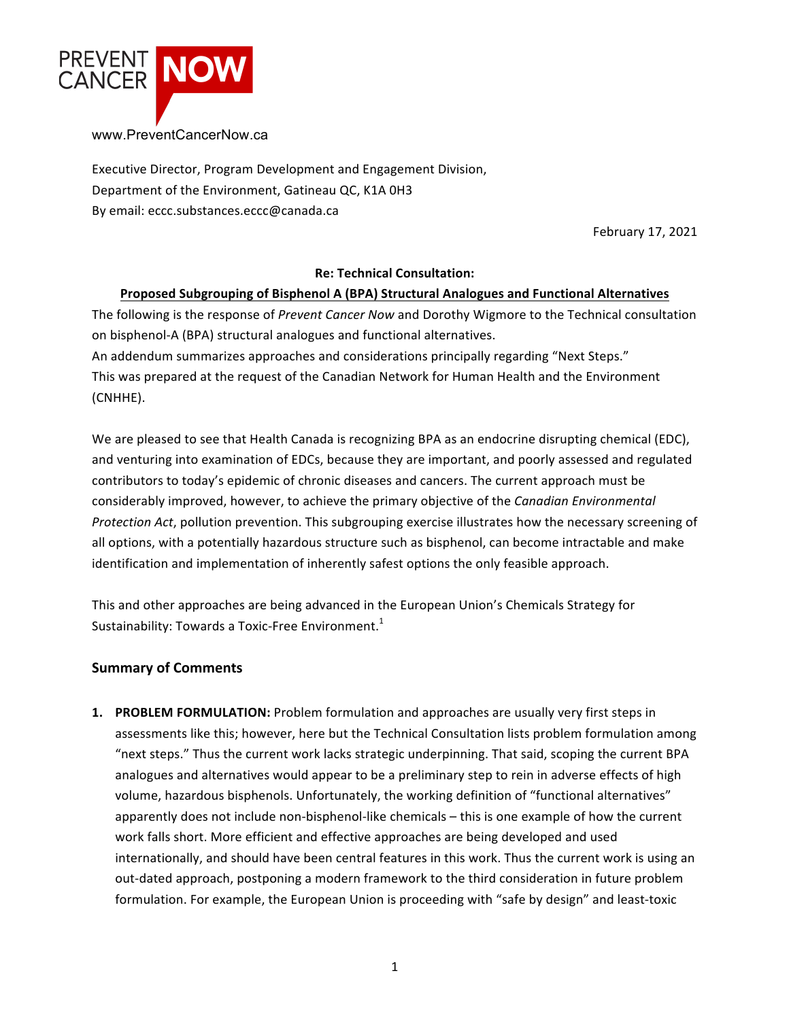

Executive Director, Program Development and Engagement Division, Department of the Environment, Gatineau QC, K1A 0H3 By email: eccc.substances.eccc@canada.ca

February 17, 2021

## **Re: Technical Consultation:**

### **Proposed Subgrouping of Bisphenol A (BPA) Structural Analogues and Functional Alternatives**

The following is the response of *Prevent Cancer Now* and Dorothy Wigmore to the Technical consultation on bisphenol-A (BPA) structural analogues and functional alternatives. An addendum summarizes approaches and considerations principally regarding "Next Steps." This was prepared at the request of the Canadian Network for Human Health and the Environment (CNHHE).

We are pleased to see that Health Canada is recognizing BPA as an endocrine disrupting chemical (EDC), and venturing into examination of EDCs, because they are important, and poorly assessed and regulated contributors to today's epidemic of chronic diseases and cancers. The current approach must be considerably improved, however, to achieve the primary objective of the *Canadian Environmental Protection Act*, pollution prevention. This subgrouping exercise illustrates how the necessary screening of all options, with a potentially hazardous structure such as bisphenol, can become intractable and make identification and implementation of inherently safest options the only feasible approach.

This and other approaches are being advanced in the European Union's Chemicals Strategy for Sustainability: Towards a Toxic-Free Environment.<sup>1</sup>

## **Summary of Comments**

**1. PROBLEM FORMULATION:** Problem formulation and approaches are usually very first steps in assessments like this; however, here but the Technical Consultation lists problem formulation among "next steps." Thus the current work lacks strategic underpinning. That said, scoping the current BPA analogues and alternatives would appear to be a preliminary step to rein in adverse effects of high volume, hazardous bisphenols. Unfortunately, the working definition of "functional alternatives" apparently does not include non-bisphenol-like chemicals – this is one example of how the current work falls short. More efficient and effective approaches are being developed and used internationally, and should have been central features in this work. Thus the current work is using an out-dated approach, postponing a modern framework to the third consideration in future problem formulation. For example, the European Union is proceeding with "safe by design" and least-toxic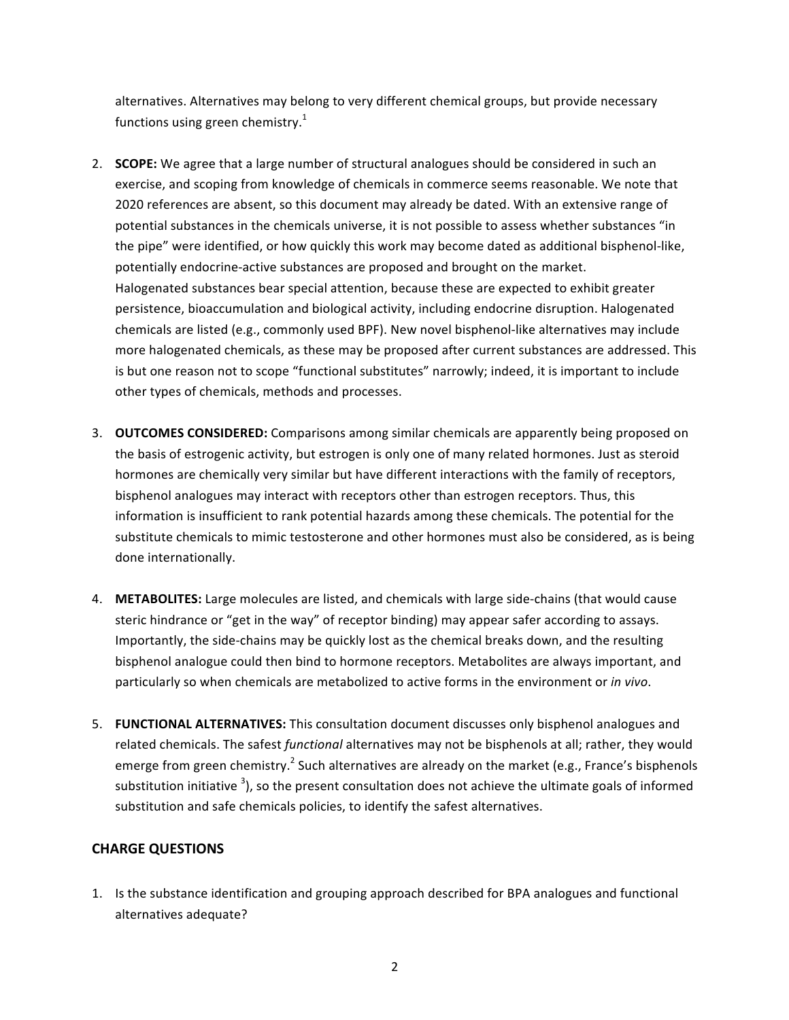alternatives. Alternatives may belong to very different chemical groups, but provide necessary functions using green chemistry.<sup>1</sup>

- 2. **SCOPE:** We agree that a large number of structural analogues should be considered in such an exercise, and scoping from knowledge of chemicals in commerce seems reasonable. We note that 2020 references are absent, so this document may already be dated. With an extensive range of potential substances in the chemicals universe, it is not possible to assess whether substances "in the pipe" were identified, or how quickly this work may become dated as additional bisphenol-like, potentially endocrine-active substances are proposed and brought on the market. Halogenated substances bear special attention, because these are expected to exhibit greater persistence, bioaccumulation and biological activity, including endocrine disruption. Halogenated chemicals are listed (e.g., commonly used BPF). New novel bisphenol-like alternatives may include more halogenated chemicals, as these may be proposed after current substances are addressed. This is but one reason not to scope "functional substitutes" narrowly; indeed, it is important to include other types of chemicals, methods and processes.
- 3. **OUTCOMES CONSIDERED:** Comparisons among similar chemicals are apparently being proposed on the basis of estrogenic activity, but estrogen is only one of many related hormones. Just as steroid hormones are chemically very similar but have different interactions with the family of receptors, bisphenol analogues may interact with receptors other than estrogen receptors. Thus, this information is insufficient to rank potential hazards among these chemicals. The potential for the substitute chemicals to mimic testosterone and other hormones must also be considered, as is being done internationally.
- 4. METABOLITES: Large molecules are listed, and chemicals with large side-chains (that would cause steric hindrance or "get in the way" of receptor binding) may appear safer according to assays. Importantly, the side-chains may be quickly lost as the chemical breaks down, and the resulting bisphenol analogue could then bind to hormone receptors. Metabolites are always important, and particularly so when chemicals are metabolized to active forms in the environment or *in vivo*.
- 5. **FUNCTIONAL ALTERNATIVES:** This consultation document discusses only bisphenol analogues and related chemicals. The safest *functional* alternatives may not be bisphenols at all; rather, they would emerge from green chemistry.<sup>2</sup> Such alternatives are already on the market (e.g., France's bisphenols substitution initiative <sup>3</sup>), so the present consultation does not achieve the ultimate goals of informed substitution and safe chemicals policies, to identify the safest alternatives.

## **CHARGE QUESTIONS**

1. Is the substance identification and grouping approach described for BPA analogues and functional alternatives adequate?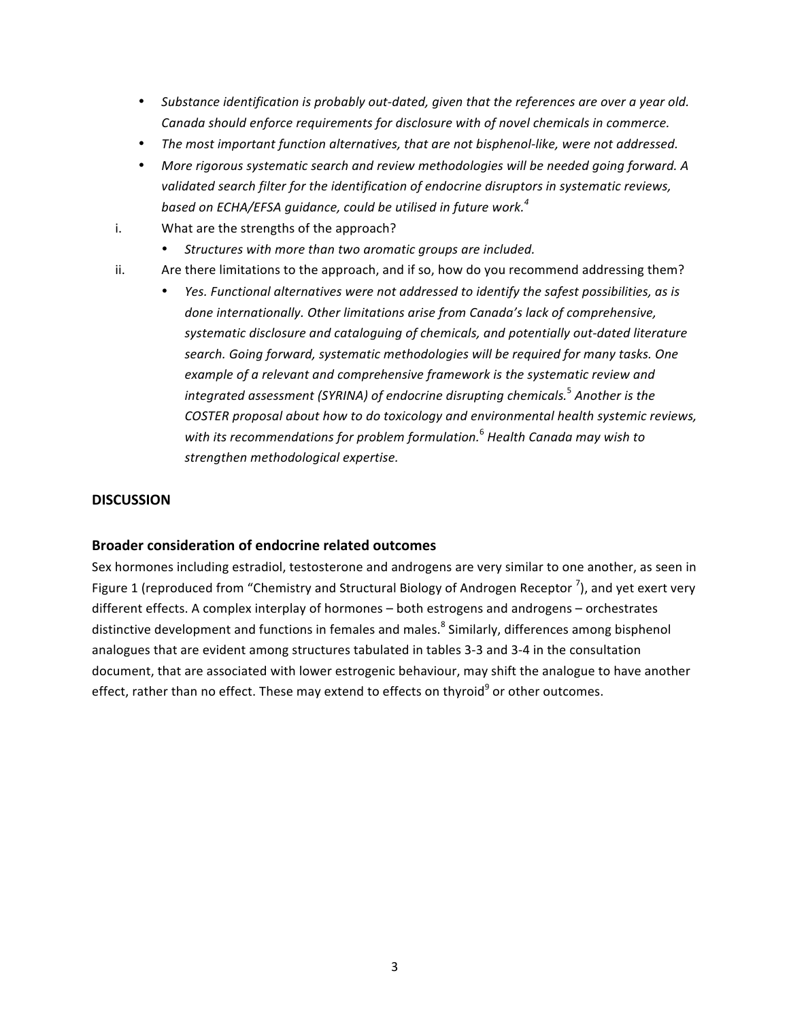- Substance *identification is probably out-dated, given that the references are over a year old. Canada should enforce requirements for disclosure with of novel chemicals in commerce.*
- The most important function alternatives, that are not bisphenol-like, were not addressed.
- More rigorous systematic search and review methodologies will be needed going forward. A validated search filter for the identification of endocrine disruptors in systematic reviews, *based* on ECHA/EFSA quidance, could be utilised in future work.<sup>4</sup>
- i. What are the strengths of the approach?
	- Structures with more than two aromatic groups are included.
- ii. Are there limitations to the approach, and if so, how do you recommend addressing them?
	- *Yes. Functional alternatives were not addressed to identify the safest possibilities, as is* done internationally. Other limitations arise from Canada's lack of comprehensive, systematic disclosure and cataloguing of chemicals, and potentially out-dated literature search. Going forward, systematic methodologies will be required for many tasks. One *example of a relevant and comprehensive framework is the systematic review and* integrated assessment (SYRINA) of endocrine disrupting chemicals.<sup>5</sup> Another is the *COSTER proposal about how to do toxicology and environmental health systemic reviews,* with its recommendations for problem formulation.<sup>6</sup> Health Canada may wish to *strengthen methodological expertise.*

### **DISCUSSION**

#### **Broader consideration of endocrine related outcomes**

Sex hormones including estradiol, testosterone and androgens are very similar to one another, as seen in Figure 1 (reproduced from "Chemistry and Structural Biology of Androgen Receptor  $\frac{7}{2}$ ), and yet exert very different effects. A complex interplay of hormones - both estrogens and androgens - orchestrates distinctive development and functions in females and males.<sup>8</sup> Similarly, differences among bisphenol analogues that are evident among structures tabulated in tables 3-3 and 3-4 in the consultation document, that are associated with lower estrogenic behaviour, may shift the analogue to have another effect, rather than no effect. These may extend to effects on thyroid<sup>9</sup> or other outcomes.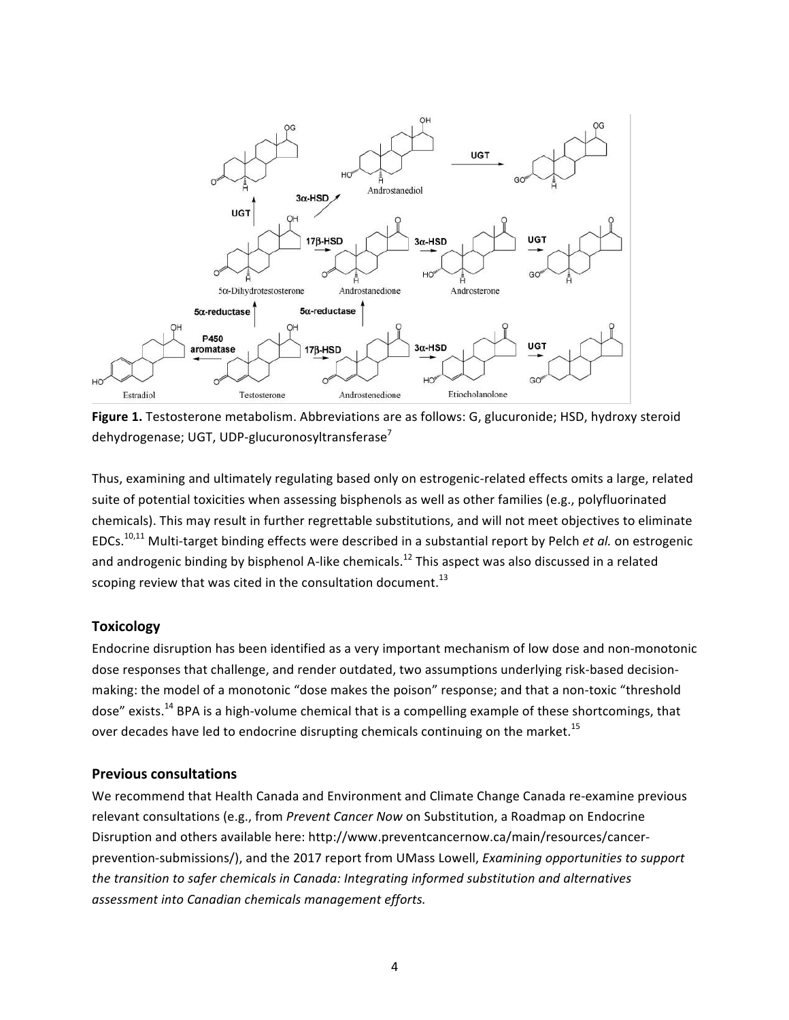

Figure 1. Testosterone metabolism. Abbreviations are as follows: G, glucuronide; HSD, hydroxy steroid dehydrogenase; UGT, UDP-glucuronosyltransferase<sup>7</sup>

Thus, examining and ultimately regulating based only on estrogenic-related effects omits a large, related suite of potential toxicities when assessing bisphenols as well as other families (e.g., polyfluorinated chemicals). This may result in further regrettable substitutions, and will not meet objectives to eliminate EDCs.<sup>10,11</sup> Multi-target binding effects were described in a substantial report by Pelch *et al.* on estrogenic and androgenic binding by bisphenol A-like chemicals.<sup>12</sup> This aspect was also discussed in a related scoping review that was cited in the consultation document.<sup>13</sup>

## **Toxicology**

Endocrine disruption has been identified as a very important mechanism of low dose and non-monotonic dose responses that challenge, and render outdated, two assumptions underlying risk-based decisionmaking: the model of a monotonic "dose makes the poison" response; and that a non-toxic "threshold dose" exists.<sup>14</sup> BPA is a high-volume chemical that is a compelling example of these shortcomings, that over decades have led to endocrine disrupting chemicals continuing on the market.<sup>15</sup>

#### **Previous consultations**

We recommend that Health Canada and Environment and Climate Change Canada re-examine previous relevant consultations (e.g., from *Prevent Cancer Now* on Substitution, a Roadmap on Endocrine Disruption and others available here: http://www.preventcancernow.ca/main/resources/cancerprevention-submissions/), and the 2017 report from UMass Lowell, *Examining opportunities to support* the transition to safer chemicals in Canada: Integrating informed substitution and alternatives assessment into Canadian chemicals management efforts.

4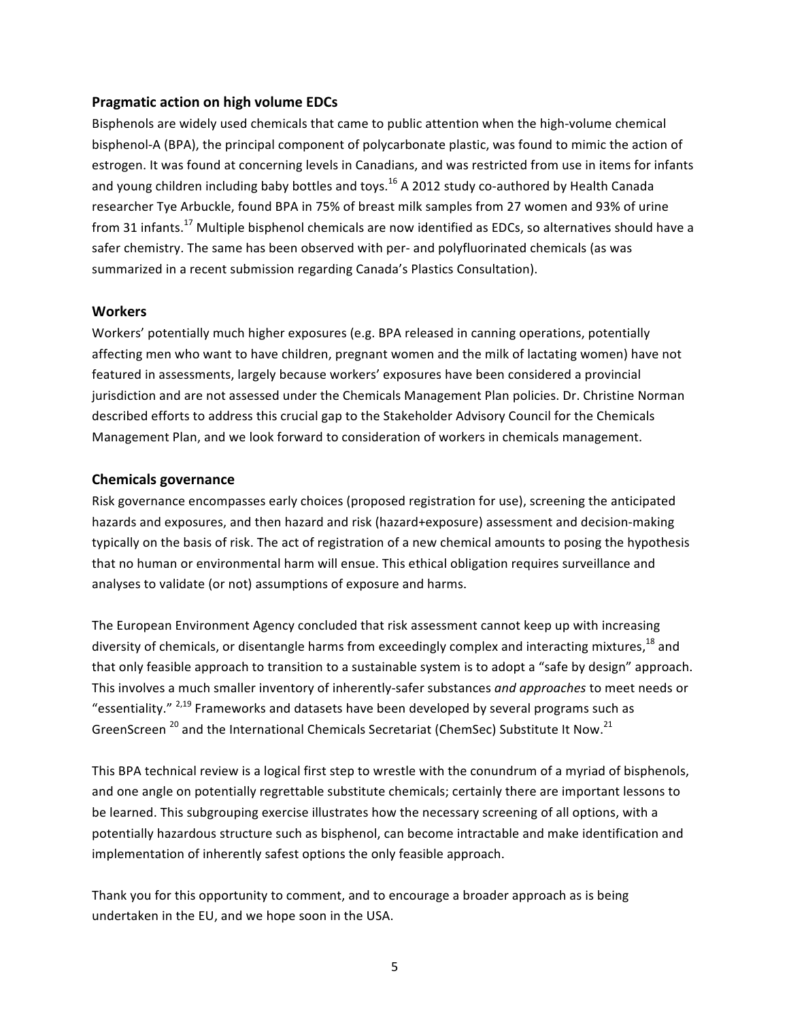#### **Pragmatic action on high volume EDCs**

Bisphenols are widely used chemicals that came to public attention when the high-volume chemical bisphenol-A (BPA), the principal component of polycarbonate plastic, was found to mimic the action of estrogen. It was found at concerning levels in Canadians, and was restricted from use in items for infants and young children including baby bottles and toys.<sup>16</sup> A 2012 study co-authored by Health Canada researcher Tye Arbuckle, found BPA in 75% of breast milk samples from 27 women and 93% of urine from 31 infants.<sup>17</sup> Multiple bisphenol chemicals are now identified as EDCs, so alternatives should have a safer chemistry. The same has been observed with per- and polyfluorinated chemicals (as was summarized in a recent submission regarding Canada's Plastics Consultation).

### **Workers**

Workers' potentially much higher exposures (e.g. BPA released in canning operations, potentially affecting men who want to have children, pregnant women and the milk of lactating women) have not featured in assessments, largely because workers' exposures have been considered a provincial jurisdiction and are not assessed under the Chemicals Management Plan policies. Dr. Christine Norman described efforts to address this crucial gap to the Stakeholder Advisory Council for the Chemicals Management Plan, and we look forward to consideration of workers in chemicals management.

## **Chemicals governance**

Risk governance encompasses early choices (proposed registration for use), screening the anticipated hazards and exposures, and then hazard and risk (hazard+exposure) assessment and decision-making typically on the basis of risk. The act of registration of a new chemical amounts to posing the hypothesis that no human or environmental harm will ensue. This ethical obligation requires surveillance and analyses to validate (or not) assumptions of exposure and harms.

The European Environment Agency concluded that risk assessment cannot keep up with increasing diversity of chemicals, or disentangle harms from exceedingly complex and interacting mixtures,<sup>18</sup> and that only feasible approach to transition to a sustainable system is to adopt a "safe by design" approach. This involves a much smaller inventory of inherently-safer substances *and approaches* to meet needs or "essentiality."  $^{2,19}$  Frameworks and datasets have been developed by several programs such as GreenScreen  $^{20}$  and the International Chemicals Secretariat (ChemSec) Substitute It Now.<sup>21</sup>

This BPA technical review is a logical first step to wrestle with the conundrum of a myriad of bisphenols, and one angle on potentially regrettable substitute chemicals; certainly there are important lessons to be learned. This subgrouping exercise illustrates how the necessary screening of all options, with a potentially hazardous structure such as bisphenol, can become intractable and make identification and implementation of inherently safest options the only feasible approach.

Thank you for this opportunity to comment, and to encourage a broader approach as is being undertaken in the EU, and we hope soon in the USA.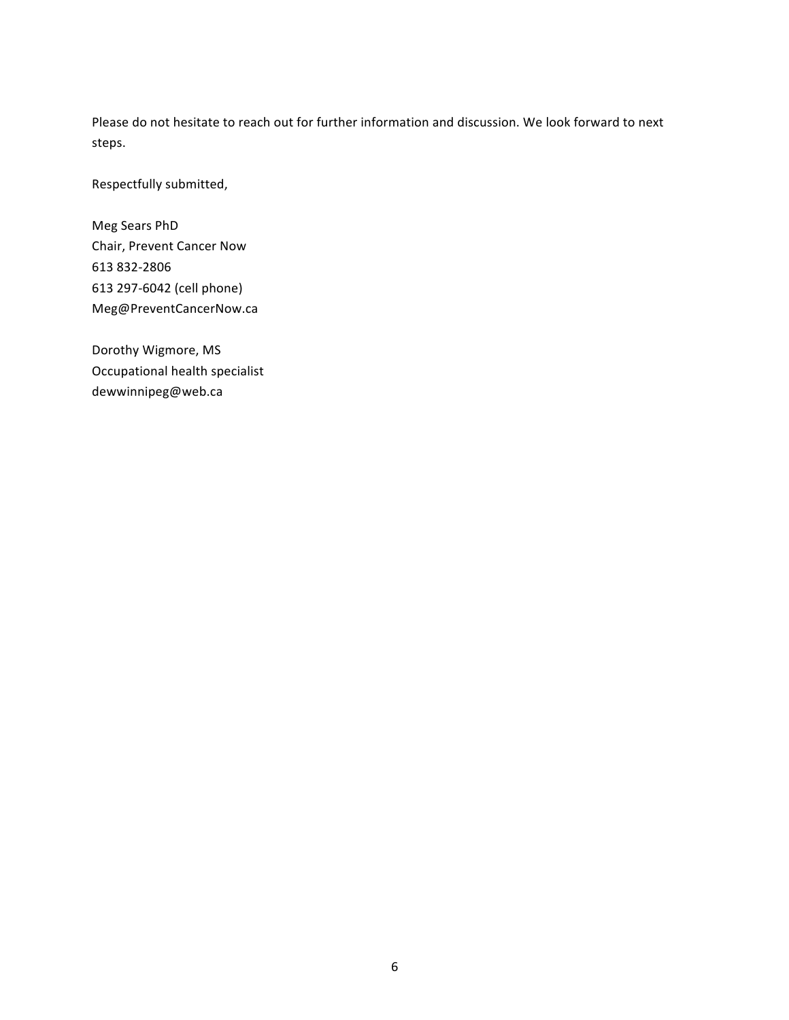Please do not hesitate to reach out for further information and discussion. We look forward to next steps.

Respectfully submitted,

Meg Sears PhD Chair, Prevent Cancer Now 613 832-2806 613 297-6042 (cell phone) Meg@PreventCancerNow.ca

Dorothy Wigmore, MS Occupational health specialist dewwinnipeg@web.ca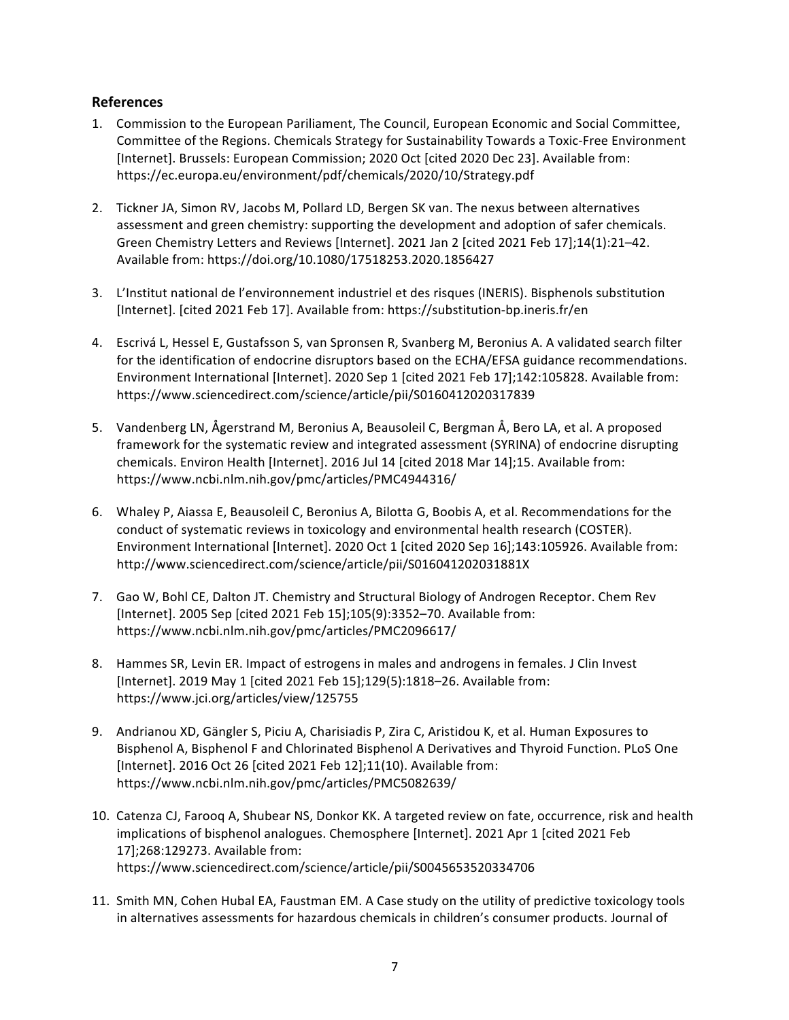## **References**

- 1. Commission to the European Pariliament, The Council, European Economic and Social Committee, Committee of the Regions. Chemicals Strategy for Sustainability Towards a Toxic-Free Environment [Internet]. Brussels: European Commission; 2020 Oct [cited 2020 Dec 23]. Available from: https://ec.europa.eu/environment/pdf/chemicals/2020/10/Strategy.pdf
- 2. Tickner JA, Simon RV, Jacobs M, Pollard LD, Bergen SK van. The nexus between alternatives assessment and green chemistry: supporting the development and adoption of safer chemicals. Green Chemistry Letters and Reviews [Internet]. 2021 Jan 2 [cited 2021 Feb 17];14(1):21-42. Available from: https://doi.org/10.1080/17518253.2020.1856427
- 3. L'Institut national de l'environnement industriel et des risques (INERIS). Bisphenols substitution [Internet]. [cited 2021 Feb 17]. Available from: https://substitution-bp.ineris.fr/en
- 4. Escrivá L, Hessel E, Gustafsson S, van Spronsen R, Svanberg M, Beronius A. A validated search filter for the identification of endocrine disruptors based on the ECHA/EFSA guidance recommendations. Environment International [Internet]. 2020 Sep 1 [cited 2021 Feb 17];142:105828. Available from: https://www.sciencedirect.com/science/article/pii/S0160412020317839
- 5. Vandenberg LN, Ågerstrand M, Beronius A, Beausoleil C, Bergman Å, Bero LA, et al. A proposed framework for the systematic review and integrated assessment (SYRINA) of endocrine disrupting chemicals. Environ Health [Internet]. 2016 Jul 14 [cited 2018 Mar 14];15. Available from: https://www.ncbi.nlm.nih.gov/pmc/articles/PMC4944316/
- 6. Whaley P, Aiassa E, Beausoleil C, Beronius A, Bilotta G, Boobis A, et al. Recommendations for the conduct of systematic reviews in toxicology and environmental health research (COSTER). Environment International [Internet]. 2020 Oct 1 [cited 2020 Sep 16];143:105926. Available from: http://www.sciencedirect.com/science/article/pii/S016041202031881X
- 7. Gao W, Bohl CE, Dalton JT. Chemistry and Structural Biology of Androgen Receptor. Chem Rev [Internet]. 2005 Sep [cited 2021 Feb 15];105(9):3352-70. Available from: https://www.ncbi.nlm.nih.gov/pmc/articles/PMC2096617/
- 8. Hammes SR, Levin ER. Impact of estrogens in males and androgens in females. J Clin Invest [Internet]. 2019 May 1 [cited 2021 Feb 15];129(5):1818-26. Available from: https://www.jci.org/articles/view/125755
- 9. Andrianou XD, Gängler S, Piciu A, Charisiadis P, Zira C, Aristidou K, et al. Human Exposures to Bisphenol A, Bisphenol F and Chlorinated Bisphenol A Derivatives and Thyroid Function. PLoS One [Internet]. 2016 Oct 26 [cited 2021 Feb 12];11(10). Available from: https://www.ncbi.nlm.nih.gov/pmc/articles/PMC5082639/
- 10. Catenza CJ, Faroog A, Shubear NS, Donkor KK. A targeted review on fate, occurrence, risk and health implications of bisphenol analogues. Chemosphere [Internet]. 2021 Apr 1 [cited 2021 Feb 17];268:129273. Available from: https://www.sciencedirect.com/science/article/pii/S0045653520334706
- 11. Smith MN, Cohen Hubal EA, Faustman EM. A Case study on the utility of predictive toxicology tools in alternatives assessments for hazardous chemicals in children's consumer products. Journal of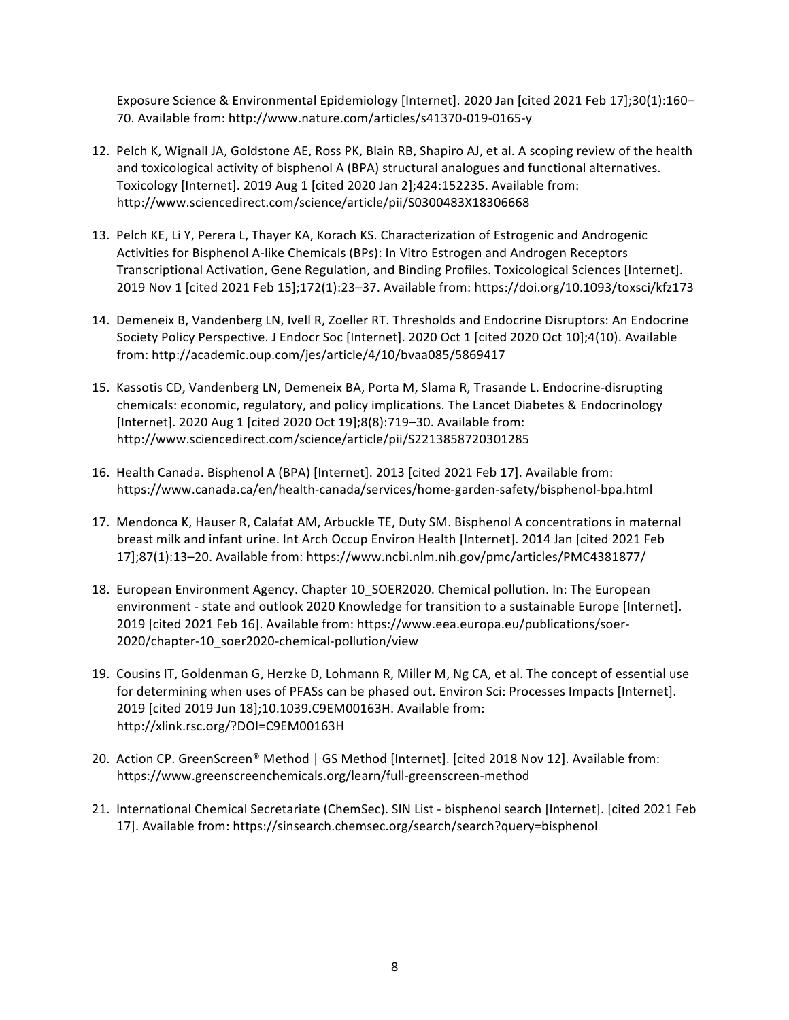Exposure Science & Environmental Epidemiology [Internet]. 2020 Jan [cited 2021 Feb 17];30(1):160– 70. Available from: http://www.nature.com/articles/s41370-019-0165-y

- 12. Pelch K, Wignall JA, Goldstone AE, Ross PK, Blain RB, Shapiro AJ, et al. A scoping review of the health and toxicological activity of bisphenol A (BPA) structural analogues and functional alternatives. Toxicology [Internet]. 2019 Aug 1 [cited 2020 Jan 2];424:152235. Available from: http://www.sciencedirect.com/science/article/pii/S0300483X18306668
- 13. Pelch KE, Li Y, Perera L, Thayer KA, Korach KS. Characterization of Estrogenic and Androgenic Activities for Bisphenol A-like Chemicals (BPs): In Vitro Estrogen and Androgen Receptors Transcriptional Activation, Gene Regulation, and Binding Profiles. Toxicological Sciences [Internet]. 2019 Nov 1 [cited 2021 Feb 15];172(1):23-37. Available from: https://doi.org/10.1093/toxsci/kfz173
- 14. Demeneix B, Vandenberg LN, Ivell R, Zoeller RT. Thresholds and Endocrine Disruptors: An Endocrine Society Policy Perspective. J Endocr Soc [Internet]. 2020 Oct 1 [cited 2020 Oct 10];4(10). Available from: http://academic.oup.com/jes/article/4/10/bvaa085/5869417
- 15. Kassotis CD, Vandenberg LN, Demeneix BA, Porta M, Slama R, Trasande L. Endocrine-disrupting chemicals: economic, regulatory, and policy implications. The Lancet Diabetes & Endocrinology [Internet]. 2020 Aug 1 [cited 2020 Oct 19];8(8):719–30. Available from: http://www.sciencedirect.com/science/article/pii/S2213858720301285
- 16. Health Canada. Bisphenol A (BPA) [Internet]. 2013 [cited 2021 Feb 17]. Available from: https://www.canada.ca/en/health-canada/services/home-garden-safety/bisphenol-bpa.html
- 17. Mendonca K, Hauser R, Calafat AM, Arbuckle TE, Duty SM. Bisphenol A concentrations in maternal breast milk and infant urine. Int Arch Occup Environ Health [Internet]. 2014 Jan [cited 2021 Feb 17];87(1):13–20. Available from: https://www.ncbi.nlm.nih.gov/pmc/articles/PMC4381877/
- 18. European Environment Agency. Chapter 10\_SOER2020. Chemical pollution. In: The European environment - state and outlook 2020 Knowledge for transition to a sustainable Europe [Internet]. 2019 [cited 2021 Feb 16]. Available from: https://www.eea.europa.eu/publications/soer-2020/chapter-10\_soer2020-chemical-pollution/view
- 19. Cousins IT, Goldenman G, Herzke D, Lohmann R, Miller M, Ng CA, et al. The concept of essential use for determining when uses of PFASs can be phased out. Environ Sci: Processes Impacts [Internet]. 2019 [cited 2019 Jun 18];10.1039.C9EM00163H. Available from: http://xlink.rsc.org/?DOI=C9EM00163H
- 20. Action CP. GreenScreen® Method | GS Method [Internet]. [cited 2018 Nov 12]. Available from: https://www.greenscreenchemicals.org/learn/full-greenscreen-method
- 21. International Chemical Secretariate (ChemSec). SIN List bisphenol search [Internet]. [cited 2021 Feb 17]. Available from: https://sinsearch.chemsec.org/search/search?query=bisphenol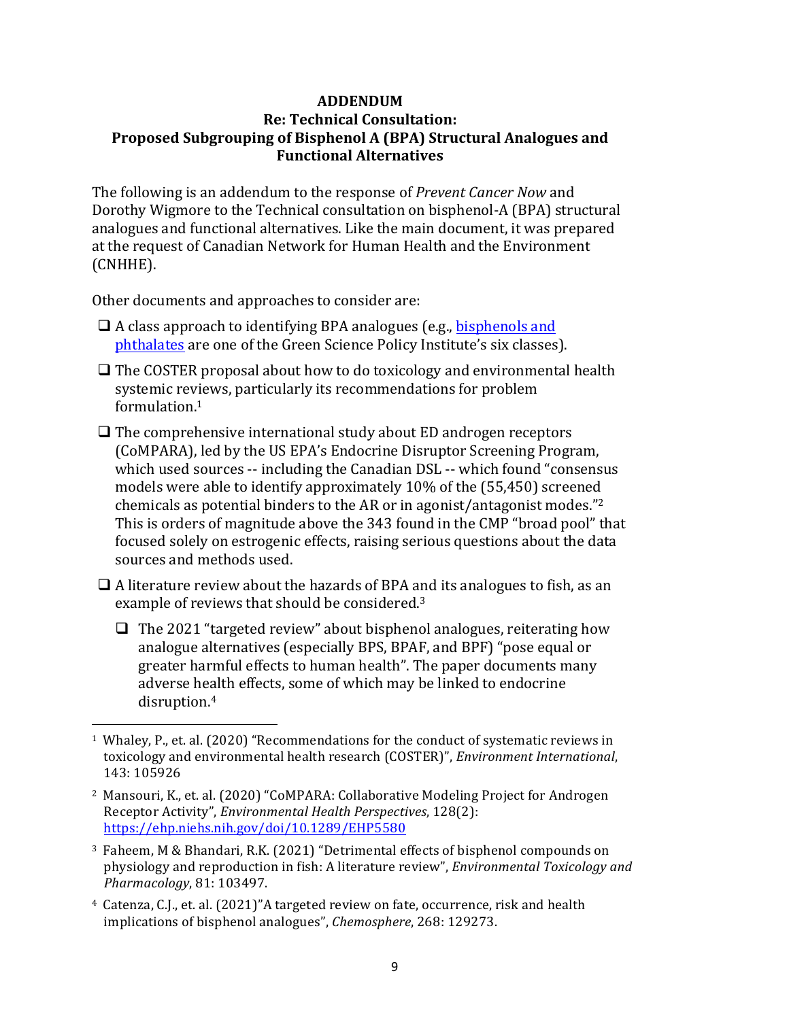# **ADDENDUM Re: Technical Consultation: Proposed Subgrouping of Bisphenol A (BPA) Structural Analogues and Functional Alternatives**

The following is an addendum to the response of *Prevent Cancer Now* and Dorothy Wigmore to the Technical consultation on bisphenol-A (BPA) structural analogues and functional alternatives. Like the main document, it was prepared at the request of Canadian Network for Human Health and the Environment (CNHHE).

Other documents and approaches to consider are:

- $\Box$  A class approach to identifying BPA analogues (e.g., bisphenols and phthalates are one of the Green Science Policy Institute's six classes).
- $\Box$  The COSTER proposal about how to do toxicology and environmental health systemic reviews, particularly its recommendations for problem formulation.1
- $\Box$  The comprehensive international study about ED androgen receptors (CoMPARA), led by the US EPA's Endocrine Disruptor Screening Program, which used sources -- including the Canadian DSL -- which found "consensus" models were able to identify approximately  $10\%$  of the  $(55,450)$  screened chemicals as potential binders to the AR or in agonist/antagonist modes."<sup>2</sup> This is orders of magnitude above the 343 found in the CMP "broad pool" that focused solely on estrogenic effects, raising serious questions about the data sources and methods used.

 $\Box$  A literature review about the hazards of BPA and its analogues to fish, as an example of reviews that should be considered.<sup>3</sup>

 $\Box$  The 2021 "targeted review" about bisphenol analogues, reiterating how analogue alternatives (especially BPS, BPAF, and BPF) "pose equal or greater harmful effects to human health". The paper documents many adverse health effects, some of which may be linked to endocrine disruption.4

<sup>4</sup> Catenza, C.J., et. al. (2021)"A targeted review on fate, occurrence, risk and health implications of bisphenol analogues", *Chemosphere*, 268: 129273.

  $1$  Whaley, P., et. al. (2020) "Recommendations for the conduct of systematic reviews in toxicology and environmental health research (COSTER)", *Environment International*, 143: 105926

<sup>&</sup>lt;sup>2</sup> Mansouri, K., et. al. (2020) "CoMPARA: Collaborative Modeling Project for Androgen Receptor Activity", *Environmental Health Perspectives*, 128(2): https://ehp.niehs.nih.gov/doi/10.1289/EHP5580

<sup>&</sup>lt;sup>3</sup> Faheem, M & Bhandari, R.K. (2021) "Detrimental effects of bisphenol compounds on physiology and reproduction in fish: A literature review", *Environmental Toxicology and Pharmacology*, 81: 103497.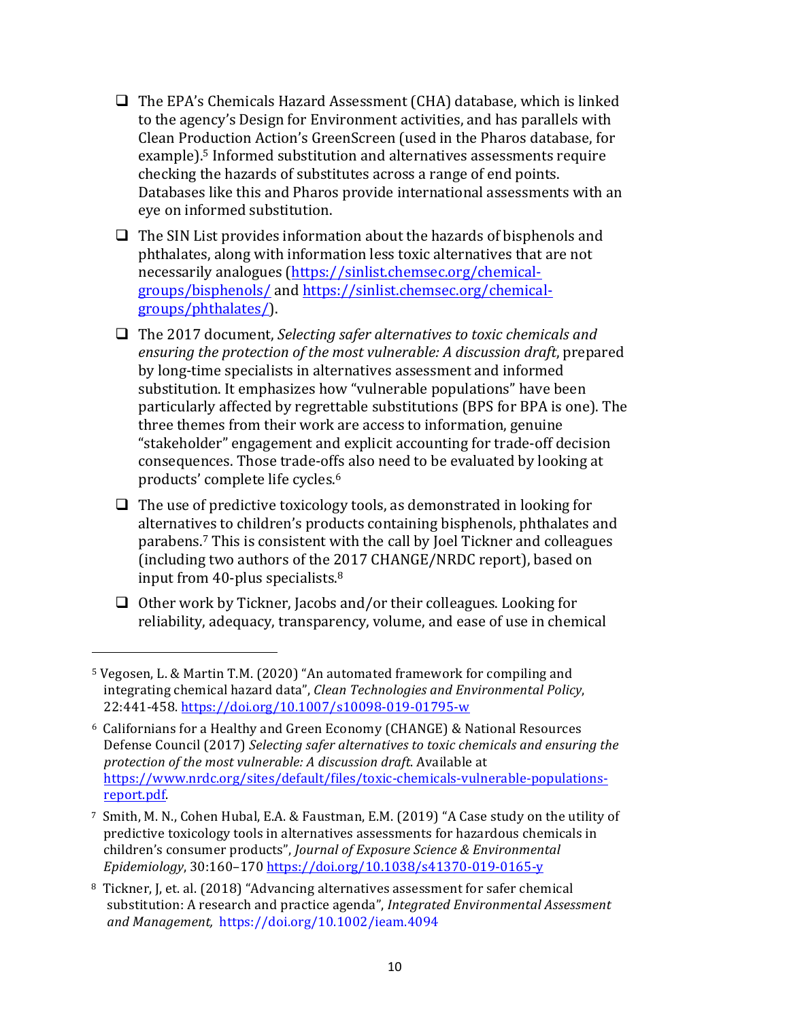- $\Box$  The EPA's Chemicals Hazard Assessment (CHA) database, which is linked to the agency's Design for Environment activities, and has parallels with Clean Production Action's GreenScreen (used in the Pharos database, for example).<sup>5</sup> Informed substitution and alternatives assessments require checking the hazards of substitutes across a range of end points. Databases like this and Pharos provide international assessments with an eye on informed substitution.
- $\Box$  The SIN List provides information about the hazards of bisphenols and phthalates, along with information less toxic alternatives that are not necessarily analogues (https://sinlist.chemsec.org/chemicalgroups/bisphenols/ and https://sinlist.chemsec.org/chemicalgroups/phthalates/).
- □ The 2017 document, *Selecting safer alternatives to toxic chemicals and ensuring the protection of the most vulnerable: A discussion draft, prepared* by long-time specialists in alternatives assessment and informed substitution. It emphasizes how "vulnerable populations" have been particularly affected by regrettable substitutions (BPS for BPA is one). The three themes from their work are access to information, genuine "stakeholder" engagement and explicit accounting for trade-off decision consequences. Those trade-offs also need to be evaluated by looking at products' complete life cycles.<sup>6</sup>
- $\Box$  The use of predictive toxicology tools, as demonstrated in looking for alternatives to children's products containing bisphenols, phthalates and parabens.<sup>7</sup> This is consistent with the call by Joel Tickner and colleagues (including two authors of the 2017 CHANGE/NRDC report), based on input from 40-plus specialists. $8<sup>8</sup>$
- $\Box$  Other work by Tickner, Jacobs and/or their colleagues. Looking for reliability, adequacy, transparency, volume, and ease of use in chemical

 

<sup>&</sup>lt;sup>5</sup> Vegosen, L. & Martin T.M. (2020) "An automated framework for compiling and integrating chemical hazard data", *Clean Technologies and Environmental Policy*, 22:441-458. https://doi.org/10.1007/s10098-019-01795-w

<sup>&</sup>lt;sup>6</sup> Californians for a Healthy and Green Economy (CHANGE) & National Resources Defense Council (2017) *Selecting safer alternatives to toxic chemicals and ensuring the* protection of the most vulnerable: A discussion draft. Available at https://www.nrdc.org/sites/default/files/toxic-chemicals-vulnerable-populationsreport.pdf. 

<sup>&</sup>lt;sup>7</sup> Smith, M. N., Cohen Hubal, E.A. & Faustman, E.M. (2019) "A Case study on the utility of predictive toxicology tools in alternatives assessments for hazardous chemicals in children's consumer products", *Journal of Exposure Science & Environmental Epidemiology*, 30:160–170 https://doi.org/10.1038/s41370-019-0165-y

<sup>&</sup>lt;sup>8</sup> Tickner, J, et. al. (2018) "Advancing alternatives assessment for safer chemical substitution: A research and practice agenda", *Integrated Environmental Assessment and Management,*  https://doi.org/10.1002/ieam.4094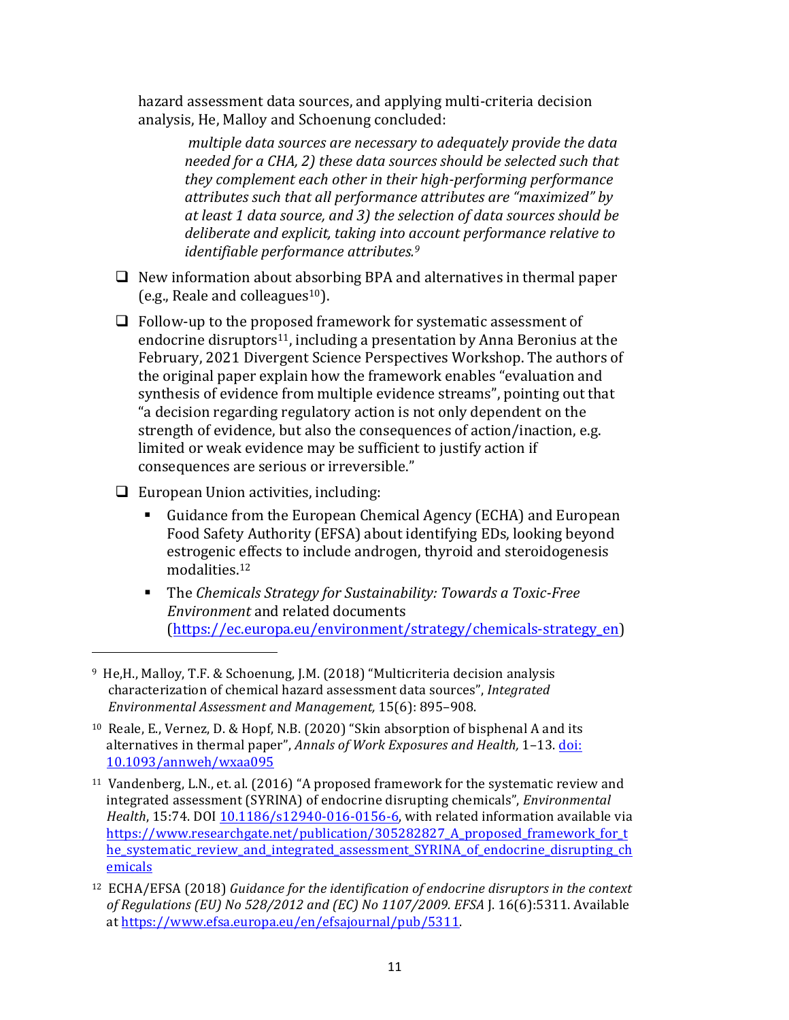hazard assessment data sources, and applying multi-criteria decision analysis, He, Malloy and Schoenung concluded:

> multiple data sources are necessary to adequately provide the data *needed for a CHA, 2) these data sources should be selected such that they complement each other in their high-performing performance attributes such that all performance attributes are "maximized" by at least 1 data source, and 3) the selection of data sources should be*  deliberate and explicit, taking into account performance relative to *identifiable performance attributes.*<sup>9</sup>

- $\Box$  New information about absorbing BPA and alternatives in thermal paper (e.g., Reale and colleagues<sup>10</sup>).
- $\Box$  Follow-up to the proposed framework for systematic assessment of endocrine disruptors<sup>11</sup>, including a presentation by Anna Beronius at the February, 2021 Divergent Science Perspectives Workshop. The authors of the original paper explain how the framework enables "evaluation and synthesis of evidence from multiple evidence streams", pointing out that "a decision regarding regulatory action is not only dependent on the strength of evidence, but also the consequences of action/inaction, e.g. limited or weak evidence may be sufficient to justify action if consequences are serious or irreversible."

 $\Box$  European Union activities, including:

 

- Guidance from the European Chemical Agency (ECHA) and European Food Safety Authority (EFSA) about identifying EDs, looking beyond estrogenic effects to include androgen, thyroid and steroidogenesis modalities. 12
- The *Chemicals Strategy for Sustainability: Towards a Toxic-Free Environment* and related documents (https://ec.europa.eu/environment/strategy/chemicals-strategy\_en)

<sup>&</sup>lt;sup>9</sup> He, H., Malloy, T.F. & Schoenung, J.M. (2018) "Multicriteria decision analysis characterization of chemical hazard assessment data sources", *Integrated Environmental Assessment and Management,* 15(6): 895–908.

<sup>&</sup>lt;sup>10</sup> Reale, E., Vernez, D. & Hopf, N.B. (2020) "Skin absorption of bisphenal A and its alternatives in thermal paper", *Annals of Work Exposures and Health*, 1-13. doi: 10.1093/annweh/wxaa095

<sup>&</sup>lt;sup>11</sup> Vandenberg, L.N., et. al. (2016) "A proposed framework for the systematic review and integrated assessment (SYRINA) of endocrine disrupting chemicals", *Environmental Health*, 15:74. DOI 10.1186/s12940-016-0156-6, with related information available via https://www.researchgate.net/publication/305282827\_A\_proposed\_framework\_for\_t he\_systematic\_review\_and\_integrated\_assessment\_SYRINA\_of\_endocrine\_disrupting\_ch emicals

<sup>&</sup>lt;sup>12</sup> ECHA/EFSA (2018) *Guidance for the identification of endocrine disruptors in the context of Regulations (EU) No 528/2012 and (EC) No 1107/2009. EFSA J.* 16(6):5311. Available at https://www.efsa.europa.eu/en/efsajournal/pub/5311.